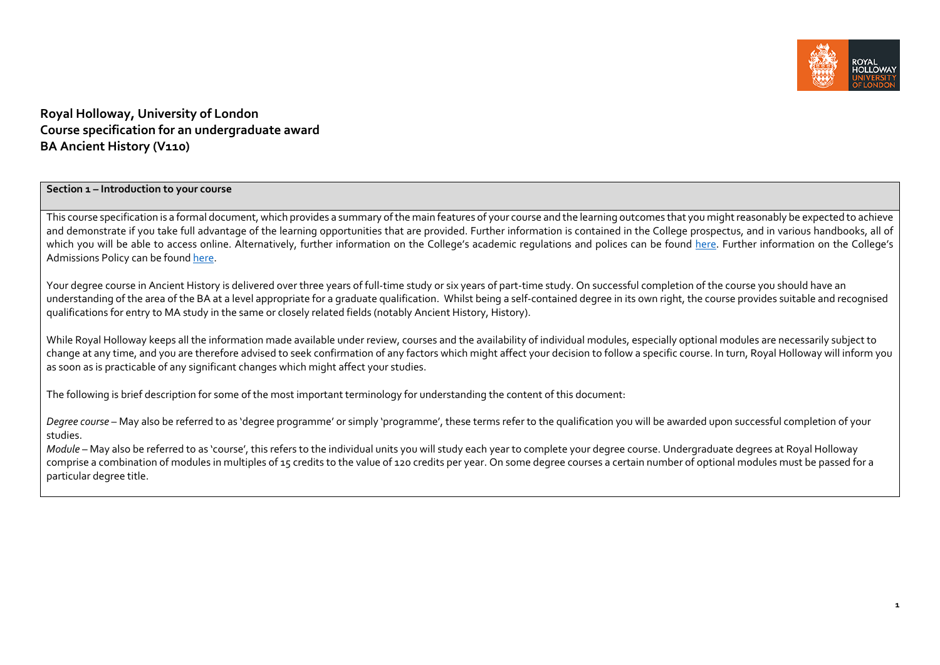

# **Royal Holloway, University of London Course specification for an undergraduate award BA Ancient History (V110)**

## **Section <sup>1</sup> – Introduction to your course**

This course specification is a formal document, which provides a summary of the main features of your course and the learning outcomes that you might reasonably be expected to achieve and demonstrate if you take full advantage of the learning opportunities that are provided. Further information is contained in the College prospectus, and in various handbooks, all of which you will be able to access online. Alternatively, further information on the College's academic regulations and polices can be found <u>here</u>. Further information on the College's Admissions Policy can be found <u>here</u>.

Your degree course in Ancient History is delivered over three years of full‐time study or six years of part‐time study. On successful completion of the course you should have an understanding of the area of the BA at a level appropriate for a graduate qualification. Whilst being a self-contained degree in its own right, the course provides suitable and recognised qualifications for entry to MA study in the same or closely related fields (notably Ancient History, History).

While Royal Holloway keeps all the information made available under review, courses and the availability of individual modules, especially optional modules are necessarily subject to change at any time, and you are therefore advised to seek confirmation of any factors which might affect your decision to follow <sup>a</sup> specific course. In turn, Royal Holloway will inform you as soon as is practicable of any significant changes which might affect your studies.

The following is brief description for some of the most important terminology for understanding the content of this document:

*Degree course* – May also be referred to as 'degree programme' or simply 'programme', these terms refer to the qualification you will be awarded upon successful completion of your studies.

*Module* – May also be referred to as 'course', this refers to the individual units you will study each year to complete your degree course. Undergraduate degrees at Royal Holloway comprise <sup>a</sup> combination of modules in multiples of <sup>15</sup> credits to the value of <sup>120</sup> credits per year. On some degree courses <sup>a</sup> certain number of optional modules must be passed for <sup>a</sup> particular degree title.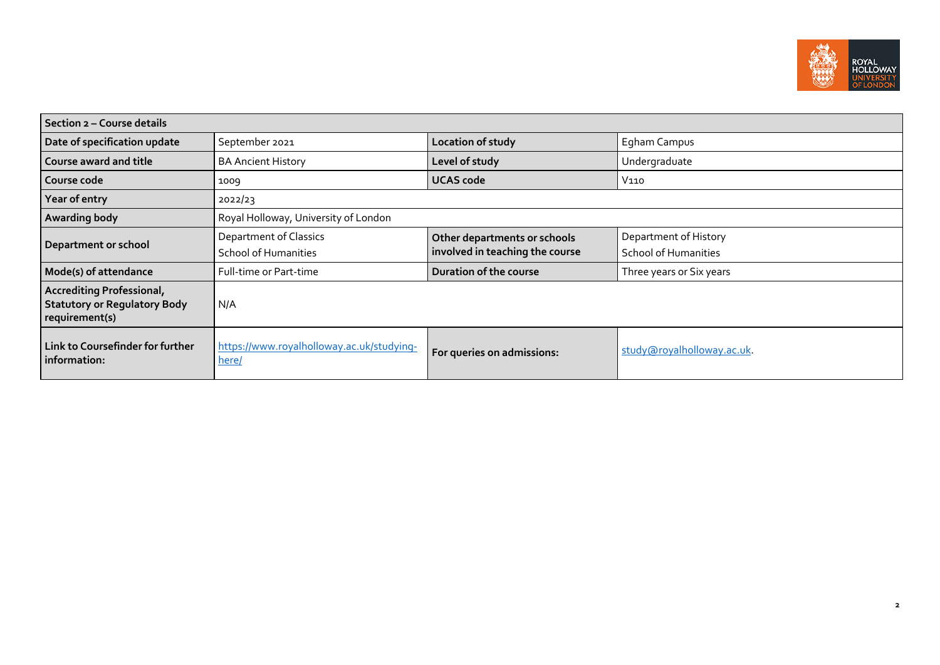

| Section 2 - Course details                                                                |                                                              |                                                                 |                                                      |  |
|-------------------------------------------------------------------------------------------|--------------------------------------------------------------|-----------------------------------------------------------------|------------------------------------------------------|--|
| Date of specification update                                                              | September 2021                                               | Location of study                                               | Egham Campus                                         |  |
| <b>Course award and title</b>                                                             | <b>BA Ancient History</b>                                    | Level of study                                                  | Undergraduate                                        |  |
| Course code                                                                               | 1009                                                         | <b>UCAS code</b>                                                | V110                                                 |  |
| Year of entry                                                                             | 2022/23                                                      |                                                                 |                                                      |  |
| Awarding body                                                                             | Royal Holloway, University of London                         |                                                                 |                                                      |  |
| Department or school                                                                      | <b>Department of Classics</b><br><b>School of Humanities</b> | Other departments or schools<br>involved in teaching the course | Department of History<br><b>School of Humanities</b> |  |
| Mode(s) of attendance                                                                     | Full-time or Part-time                                       | Duration of the course                                          | Three years or Six years                             |  |
| <b>Accrediting Professional,</b><br><b>Statutory or Regulatory Body</b><br>requirement(s) | N/A                                                          |                                                                 |                                                      |  |
| Link to Coursefinder for further<br>information:                                          | https://www.royalholloway.ac.uk/studying-<br>here/           | For queries on admissions:                                      | study@royalholloway.ac.uk.                           |  |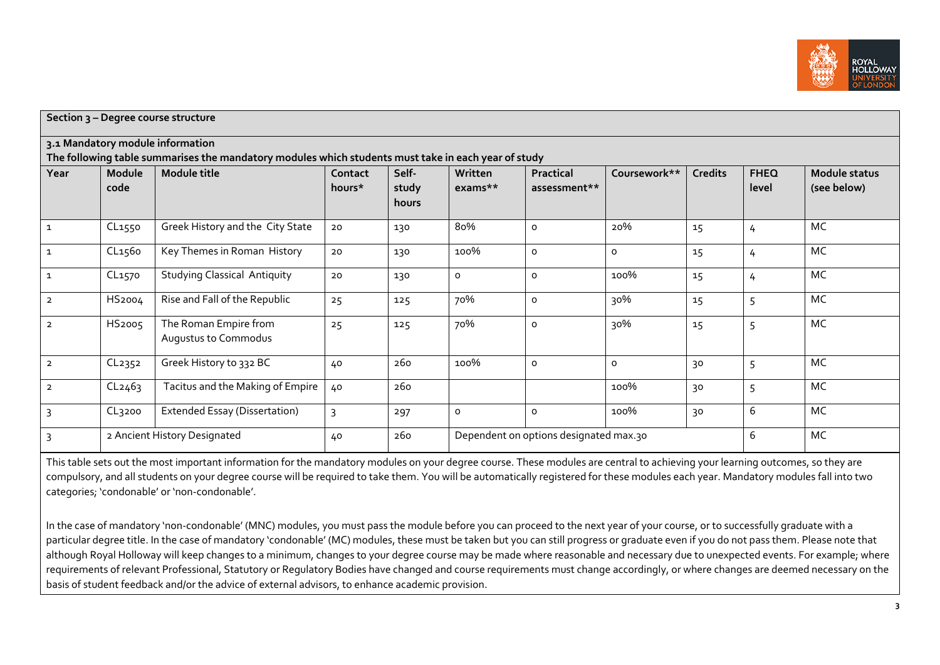

| Section 3 - Degree course structure |        |                                                                                                                     |                |       |         |                                        |              |                |             |                      |
|-------------------------------------|--------|---------------------------------------------------------------------------------------------------------------------|----------------|-------|---------|----------------------------------------|--------------|----------------|-------------|----------------------|
|                                     |        | 3.1 Mandatory module information                                                                                    |                |       |         |                                        |              |                |             |                      |
| Year                                | Module | The following table summarises the mandatory modules which students must take in each year of study<br>Module title | Contact        | Self- | Written | Practical                              | Coursework** | <b>Credits</b> | <b>FHEQ</b> | <b>Module status</b> |
|                                     | code   |                                                                                                                     | hours*         | study | exams** | assessment**                           |              |                | level       | (see below)          |
|                                     |        |                                                                                                                     |                | hours |         |                                        |              |                |             |                      |
| $\mathbf{1}$                        | CL1550 | Greek History and the City State                                                                                    | 20             | 130   | 80%     | o                                      | 20%          | 15             | 4           | MC                   |
| $\mathbf{1}$                        | CL1560 | Key Themes in Roman History                                                                                         | 20             | 130   | 100%    | 0                                      | 0            | 15             | 4           | MC                   |
| $\mathbf{1}$                        | CL1570 | <b>Studying Classical Antiquity</b>                                                                                 | 20             | 130   | o       | 0                                      | 100%         | 15             | 4           | MC                   |
| $\overline{2}$                      | HS2004 | Rise and Fall of the Republic                                                                                       | 25             | 125   | 70%     | o                                      | 30%          | 15             | 5           | MC                   |
| $\overline{2}$                      | HS2005 | The Roman Empire from<br>Augustus to Commodus                                                                       | 25             | 125   | 70%     | 0                                      | 30%          | 15             | 5           | MC                   |
| $\overline{2}$                      | CL2352 | Greek History to 332 BC                                                                                             | 40             | 260   | 100%    | $\circ$                                | 0            | 30             | 5           | MC                   |
| $\overline{2}$                      | CL2463 | Tacitus and the Making of Empire                                                                                    | 40             | 260   |         |                                        | 100%         | 30             | 5           | MC                   |
| $\overline{3}$                      | CL3200 | Extended Essay (Dissertation)                                                                                       | $\overline{3}$ | 297   | 0       | 0                                      | 100%         | 30             | 6           | MC                   |
| 3                                   |        | 2 Ancient History Designated                                                                                        | 40             | 260   |         | Dependent on options designated max.30 |              |                | 6           | MC                   |

This table sets out the most important information for the mandatory modules on your degree course. These modules are central to achieving your learning outcomes, so they are compulsory, and all students on your degree course will be required to take them. You will be automatically registered for these modules each year. Mandatory modules fall into two categories; 'condonable' or 'non‐condonable'.

In the case of mandatory 'non‐condonable' (MNC) modules, you must pass the module before you can proceed to the next year of your course, or to successfully graduate with <sup>a</sup> particular degree title. In the case of mandatory 'condonable' (MC) modules, these must be taken but you can still progress or graduate even if you do not pass them. Please note that although Royal Holloway will keep changes to a minimum, changes to your degree course may be made where reasonable and necessary due to unexpected events. For example; where requirements of relevant Professional, Statutory or Regulatory Bodies have changed and course requirements must change accordingly, or where changes are deemed necessary on the basis of student feedback and/or the advice of external advisors, to enhance academic provision.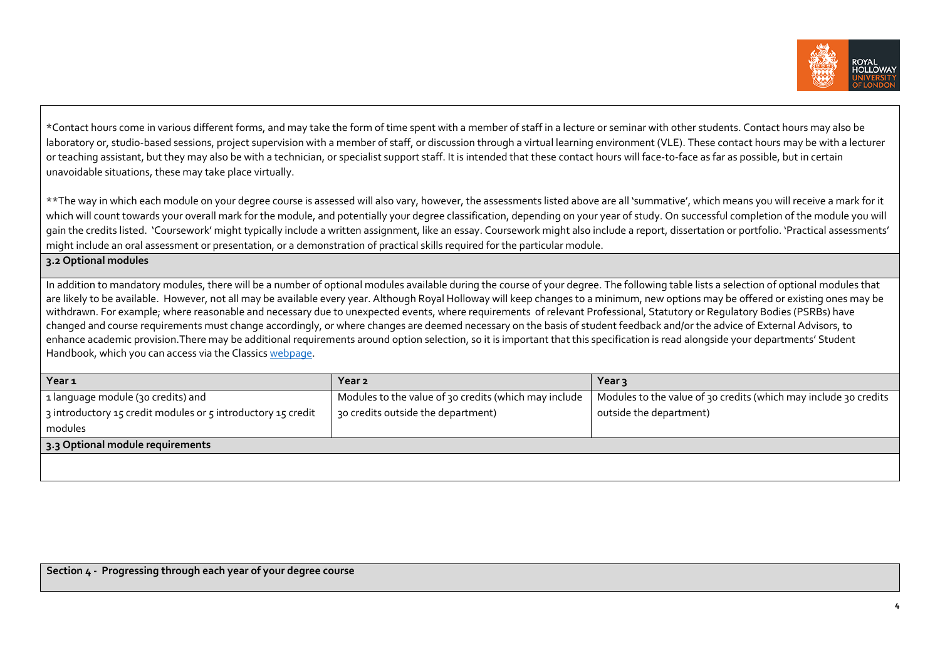

\*Contact hours come in various different forms, and may take the form of time spen<sup>t</sup> with <sup>a</sup> member of staff in <sup>a</sup> lecture or seminar with other students. Contact hours may also be laboratory or, studio-based sessions, project supervision with a member of staff, or discussion through a virtual learning environment (VLE). These contact hours may be with a lecturer or teaching assistant, but they may also be with <sup>a</sup> technician, or specialist suppor<sup>t</sup> staff. It is intended that these contact hours will face‐to‐face as far as possible, but in certain unavoidable situations, these may take place virtually.

\*\*The way in which each module on your degree course is assessed will also vary, however, the assessments listed above are all 'summative', which means you will receive <sup>a</sup> mark for it which will count towards your overall mark for the module, and potentially your degree classification, depending on your year of study. On successful completion of the module you will gain the credits listed. 'Coursework' might typically include a written assignment, like an essay. Coursework might also include a report, dissertation or portfolio. 'Practical assessments' might include an oral assessment or presentation, or <sup>a</sup> demonstration of practical skills required for the particular module.

**3.2 Optional modules**

In addition to mandatory modules, there will be a number of optional modules available during the course of your degree. The following table lists a selection of optional modules that are likely to be available. However, not all may be available every year. Although Royal Holloway will keep changes to a minimum, new options may be offered or existing ones may be withdrawn. For example; where reasonable and necessary due to unexpected events, where requirements of relevant Professional, Statutory or Regulatory Bodies (PSRBs) have changed and course requirements must change accordingly, or where changes are deemed necessary on the basis of student feedback and/or the advice of External Advisors, to enhance academic provision.There may be additional requirements around option selection, so it is important that this specification is read alongside your departments' Student Handbook, which you can access via the Classics webpage.

| Year <sub>1</sub>                                                        | Year 2                                                | Year 3                                                           |
|--------------------------------------------------------------------------|-------------------------------------------------------|------------------------------------------------------------------|
| 1 anguage module (30 credits) and                                        | Modules to the value of 30 credits (which may include | Modules to the value of 30 credits (which may include 30 credits |
| $\frac{1}{2}$ introductory 15 credit modules or 5 introductory 15 credit | 30 credits outside the department)                    | outside the department)                                          |
| modules                                                                  |                                                       |                                                                  |
| 3.3 Optional module requirements                                         |                                                       |                                                                  |
|                                                                          |                                                       |                                                                  |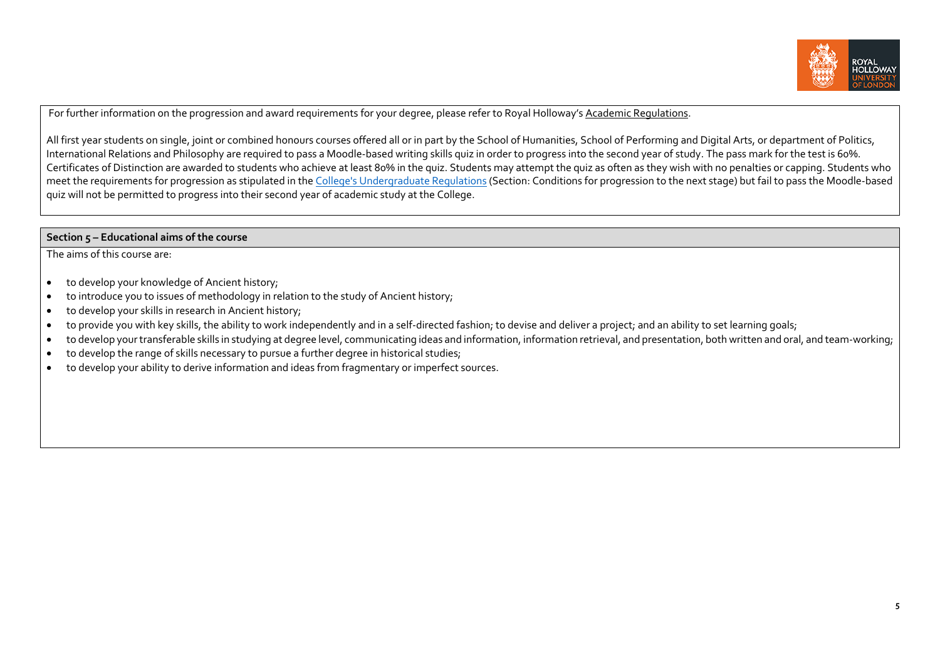

For further information on the progression and award requirements for your degree, please refer to Royal Holloway's <u>Academic Regulations</u>.

All first year students on single, joint or combined honours courses offered all or in par<sup>t</sup> by the School of Humanities, School of Performing and Digital Arts, or department of Politics, International Relations and Philosophy are required to pass <sup>a</sup> Moodle‐based writing skills quiz in order to progress into the second year of study. The pass mark for the test is 60%. Certificates of Distinction are awarded to students who achieve at least 80% in the quiz. Students may attempt the quiz as often as they wish with no penalties or capping. Students who meet the requirements for progression as stipulated in the <u>College's Undergraduate Regulations</u> (Section: Conditions for progression to the next stage) but fail to pass the Moodle‐based quiz will not be permitted to progress into their second year of academic study at the College.

### **Section 5 – Educational aims of the course**

The aims of this course are:

- $\bullet$ to develop your knowledge of Ancient history;
- $\bullet$ to introduce you to issues of methodology in relation to the study of Ancient history;
- $\bullet$ • to develop your skills in research in Ancient history;
- $\bullet$ ● to provide you with key skills, the ability to work independently and in a self-directed fashion; to devise and deliver a project; and an ability to set learning goals;
- $\bullet$ ● to develop your transferable skills in studying at degree level, communicating ideas and information, information retrieval, and presentation, both written and oral, and team-working;
- $\bullet$ to develop the range of skills necessary to pursue <sup>a</sup> further degree in historical studies;
- $\bullet$ to develop your ability to derive information and ideas from fragmentary or imperfect sources.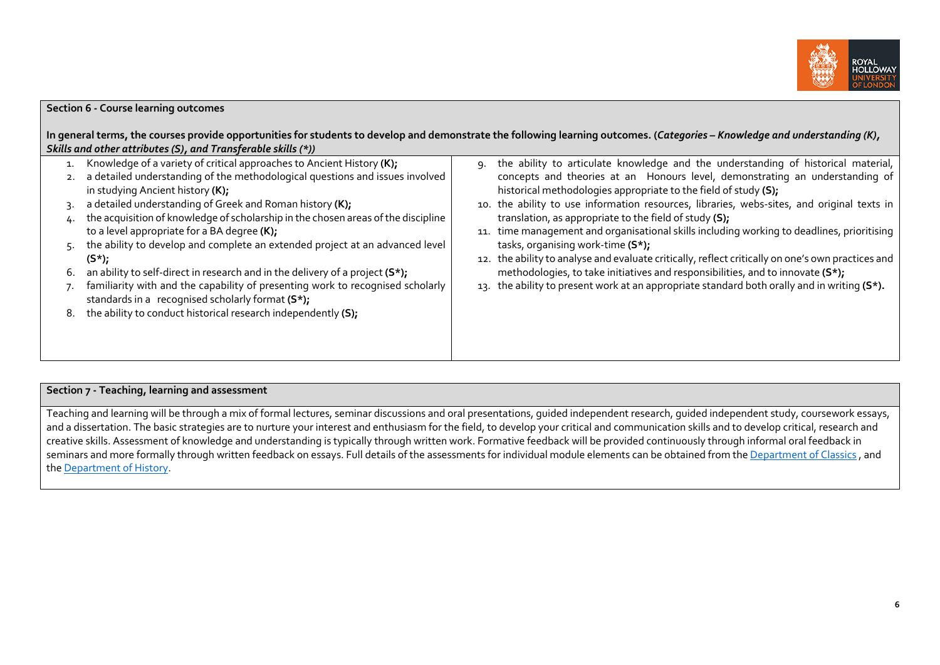

| Section 6 - Course learning outcomes<br>Skills and other attributes (S), and Transferable skills (*))<br>Knowledge of a variety of critical approaches to Ancient History (K);<br>1.<br>a detailed understanding of the methodological questions and issues involved                                                                                                                                                                                                                                                                                                                                                             | In general terms, the courses provide opportunities for students to develop and demonstrate the following learning outcomes. (Categories - Knowledge and understanding (K),<br>the ability to articulate knowledge and the understanding of historical material,<br>9.<br>concepts and theories at an Honours level, demonstrating an understanding of                                                                                                                                                                                                                                                                                                  |
|----------------------------------------------------------------------------------------------------------------------------------------------------------------------------------------------------------------------------------------------------------------------------------------------------------------------------------------------------------------------------------------------------------------------------------------------------------------------------------------------------------------------------------------------------------------------------------------------------------------------------------|---------------------------------------------------------------------------------------------------------------------------------------------------------------------------------------------------------------------------------------------------------------------------------------------------------------------------------------------------------------------------------------------------------------------------------------------------------------------------------------------------------------------------------------------------------------------------------------------------------------------------------------------------------|
| in studying Ancient history (K);<br>a detailed understanding of Greek and Roman history (K);<br>the acquisition of knowledge of scholarship in the chosen areas of the discipline<br>to a level appropriate for a BA degree (K);<br>the ability to develop and complete an extended project at an advanced level<br>$(S^*)$ ;<br>an ability to self-direct in research and in the delivery of a project (S*);<br>ь.<br>familiarity with and the capability of presenting work to recognised scholarly<br>standards in a recognised scholarly format (S*);<br>the ability to conduct historical research independently (S);<br>8. | historical methodologies appropriate to the field of study (S);<br>the ability to use information resources, libraries, webs-sites, and original texts in<br>10.<br>translation, as appropriate to the field of study (S);<br>11. time management and organisational skills including working to deadlines, prioritising<br>tasks, organising work-time (S*);<br>12. the ability to analyse and evaluate critically, reflect critically on one's own practices and<br>methodologies, to take initiatives and responsibilities, and to innovate (S*);<br>13. the ability to present work at an appropriate standard both orally and in writing $(S^*)$ . |

#### **Section <sup>7</sup> ‐ Teaching, learning and assessment**

Teaching and learning will be through a mix of formal lectures, seminar discussions and oral presentations, quided independent research, quided independent study, coursework essays, and <sup>a</sup> dissertation. The basic strategies are to nurture your interest and enthusiasm for the field, to develop your critical and communication skills and to develop critical, research and creative skills. Assessment of knowledge and understanding is typically through written work. Formative feedback will be provided continuously through informal oral feedback in seminars and more formally through written feedback on essays. Full details of the assessments for individual module elements can be obtained from the <u>Department of Classics</u> , and the **Department of History**.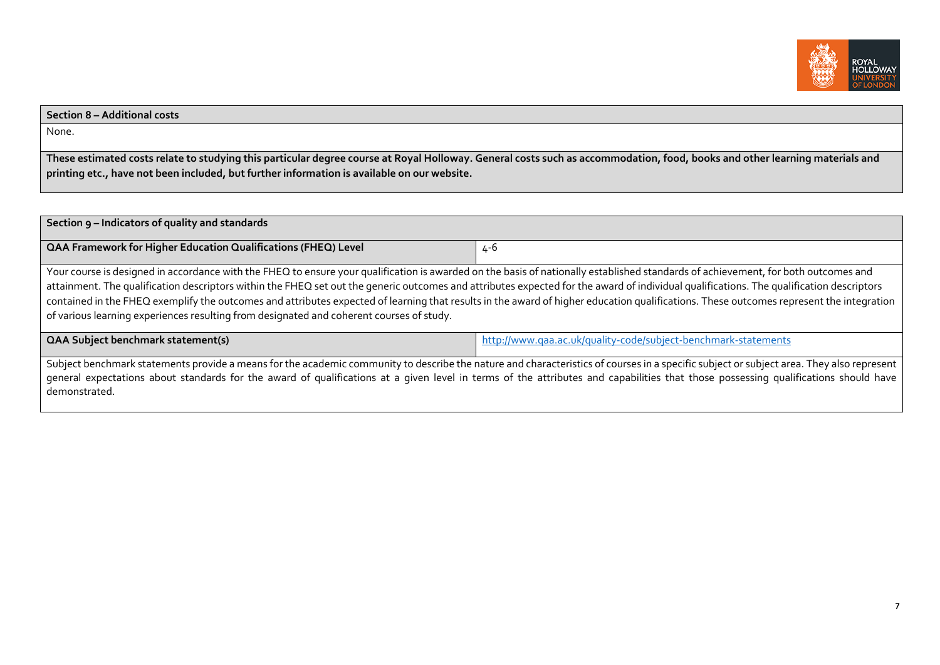

#### **Section 8 – Additional costs**

None.

These estimated costs relate to studying this particular degree course at Royal Holloway. General costs such as accommodation, food, books and other learning materials and **printing etc., have not been included, but further information is available on our website.**

| Section 9 - Indicators of quality and standards                                                                                                                                                                                                                                                                                                                                                                                                                                                                                                                                                                                                                       |                                                                |  |  |
|-----------------------------------------------------------------------------------------------------------------------------------------------------------------------------------------------------------------------------------------------------------------------------------------------------------------------------------------------------------------------------------------------------------------------------------------------------------------------------------------------------------------------------------------------------------------------------------------------------------------------------------------------------------------------|----------------------------------------------------------------|--|--|
| QAA Framework for Higher Education Qualifications (FHEQ) Level                                                                                                                                                                                                                                                                                                                                                                                                                                                                                                                                                                                                        | 4-6                                                            |  |  |
| Your course is designed in accordance with the FHEQ to ensure your qualification is awarded on the basis of nationally established standards of achievement, for both outcomes and<br>attainment. The qualification descriptors within the FHEQ set out the generic outcomes and attributes expected for the award of individual qualifications. The qualification descriptors<br>contained in the FHEQ exemplify the outcomes and attributes expected of learning that results in the award of higher education qualifications. These outcomes represent the integration<br>of various learning experiences resulting from designated and coherent courses of study. |                                                                |  |  |
| <b>QAA Subject benchmark statement(s)</b>                                                                                                                                                                                                                                                                                                                                                                                                                                                                                                                                                                                                                             | http://www.qaa.ac.uk/quality-code/subject-benchmark-statements |  |  |
| Subject benchmark statements provide a means for the academic community to describe the nature and characteristics of courses in a specific subject or subject area. They also represent<br>general expectations about standards for the award of qualifications at a given level in terms of the attributes and capabilities that those possessing qualifications should have<br>demonstrated.                                                                                                                                                                                                                                                                       |                                                                |  |  |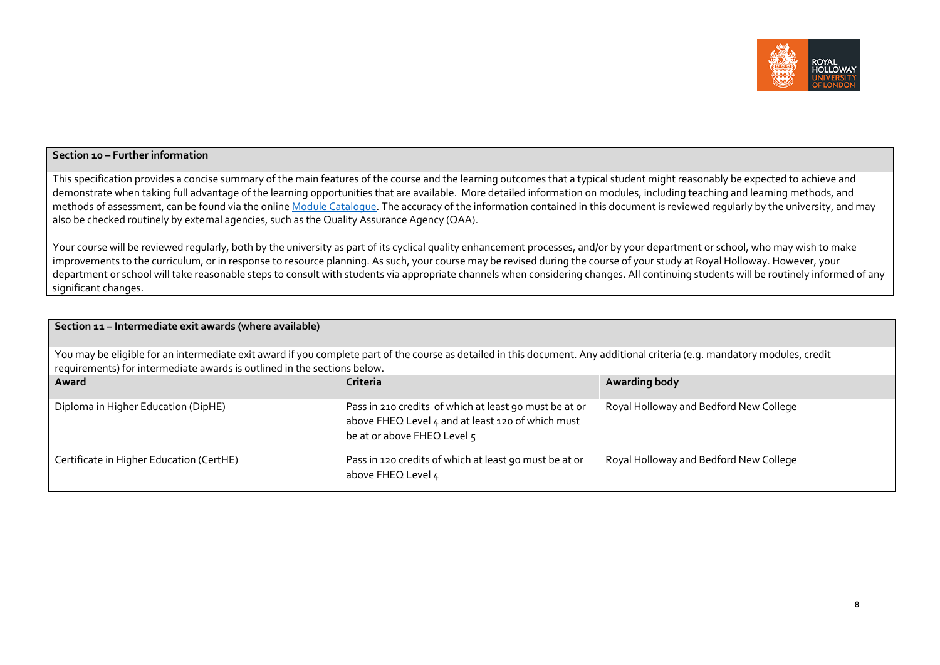

#### **Section <sup>10</sup> – Further information**

This specification provides <sup>a</sup> concise summary of the main features of the course and the learning outcomes that <sup>a</sup> typical student might reasonably be expected to achieve and demonstrate when taking full advantage of the learning opportunities that are available. More detailed information on modules, including teaching and learning methods, and methods of assessment, can be found via the online <u>Module Catalogue</u>. The accuracy of the information contained in this document is reviewed regularly by the university, and may also be checked routinely by external agencies, such as the Quality Assurance Agency (QAA).

Your course will be reviewed regularly, both by the university as par<sup>t</sup> of its cyclical quality enhancement processes, and/or by your department or school, who may wish to make improvements to the curriculum, or in response to resource planning. As such, your course may be revised during the course of your study at Royal Holloway. However, your department or school will take reasonable steps to consult with students via appropriate channels when considering changes. All continuing students will be routinely informed of any significant changes.

| Section 11 - Intermediate exit awards (where available)                                                                                                                                                                                                 |                                                                                                                                            |                                        |  |  |
|---------------------------------------------------------------------------------------------------------------------------------------------------------------------------------------------------------------------------------------------------------|--------------------------------------------------------------------------------------------------------------------------------------------|----------------------------------------|--|--|
| You may be eligible for an intermediate exit award if you complete part of the course as detailed in this document. Any additional criteria (e.g. mandatory modules, credit<br>requirements) for intermediate awards is outlined in the sections below. |                                                                                                                                            |                                        |  |  |
| Award                                                                                                                                                                                                                                                   | Criteria                                                                                                                                   | Awarding body                          |  |  |
| Diploma in Higher Education (DipHE)                                                                                                                                                                                                                     | Pass in 210 credits of which at least 90 must be at or<br>above FHEQ Level 4 and at least 120 of which must<br>be at or above FHEQ Level 5 | Royal Holloway and Bedford New College |  |  |
| Certificate in Higher Education (CertHE)                                                                                                                                                                                                                | Pass in 120 credits of which at least 90 must be at or<br>above FHEQ Level 4                                                               | Royal Holloway and Bedford New College |  |  |